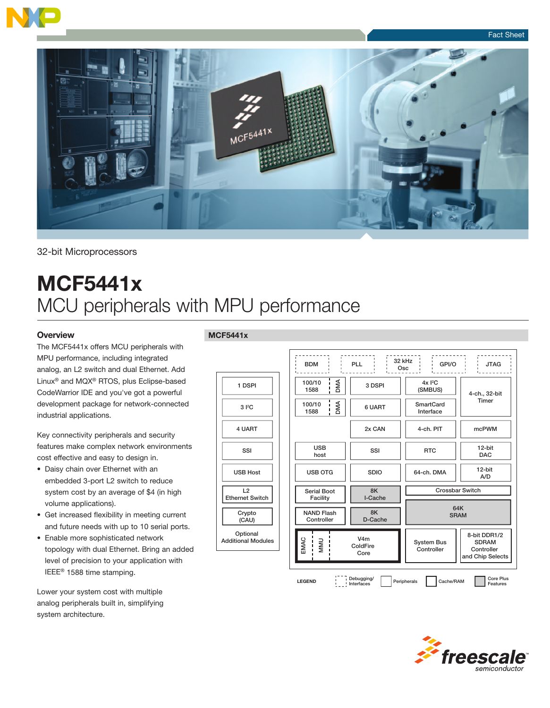



#### 32-bit Microprocessors

# MCF5441x MCU peripherals with MPU performance

#### **Overview**

The MCF5441x offers MCU peripherals with MPU performance, including integrated analog, an L2 switch and dual Ethernet. Add Linux® and MQX® RTOS, plus Eclipse-based CodeWarrior IDE and you've got a powerful development package for network-connected industrial applications.

Key connectivity peripherals and security features make complex network environments cost effective and easy to design in.

- Daisy chain over Ethernet with an embedded 3-port L2 switch to reduce system cost by an average of \$4 (in high volume applications).
- Get increased flexibility in meeting current and future needs with up to 10 serial ports.
- Enable more sophisticated network topology with dual Ethernet. Bring an added level of precision to your application with IEEE® 1588 time stamping.

Lower your system cost with multiple analog peripherals built in, simplifying system architecture.

#### MCF5441x